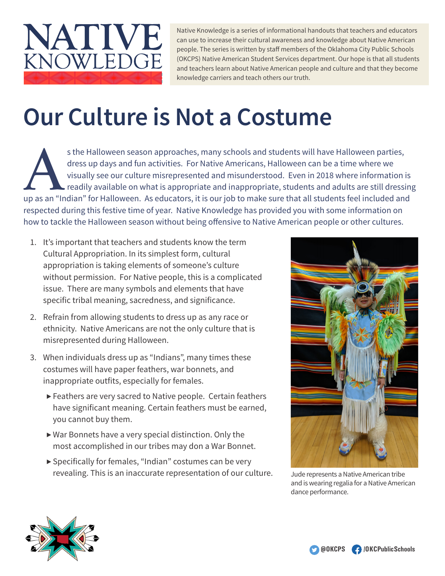

Native Knowledge is a series of informational handouts that teachers and educators can use to increase their cultural awareness and knowledge about Native American people. The series is written by staff members of the Oklahoma City Public Schools (OKCPS) Native American Student Services department. Our hope is that all students and teachers learn about Native American people and culture and that they become knowledge carriers and teach others our truth.

## **Our Culture is Not a Costume**

s the Halloween season approaches, many schools and students will have Halloween parties,<br>dress up days and fun activities. For Native Americans, Halloween can be a time where we<br>visually see our culture misrepresented and dress up days and fun activities. For Native Americans, Halloween can be a time where we visually see our culture misrepresented and misunderstood. Even in 2018 where information is readily available on what is appropriate and inappropriate, students and adults are still dressing respected during this festive time of year. Native Knowledge has provided you with some information on how to tackle the Halloween season without being offensive to Native American people or other cultures.

- 1. It's important that teachers and students know the term Cultural Appropriation. In its simplest form, cultural appropriation is taking elements of someone's culture without permission. For Native people, this is a complicated issue. There are many symbols and elements that have specific tribal meaning, sacredness, and significance.
- 2. Refrain from allowing students to dress up as any race or ethnicity. Native Americans are not the only culture that is misrepresented during Halloween.
- 3. When individuals dress up as "Indians", many times these costumes will have paper feathers, war bonnets, and inappropriate outfits, especially for females.
	- ▶ Feathers are very sacred to Native people. Certain feathers have significant meaning. Certain feathers must be earned, you cannot buy them.
	- ▶ War Bonnets have a very special distinction. Only the most accomplished in our tribes may don a War Bonnet.
	- ▶ Specifically for females, "Indian" costumes can be very revealing. This is an inaccurate representation of our culture.



Jude represents a Native American tribe and is wearing regalia for a Native American dance performance.